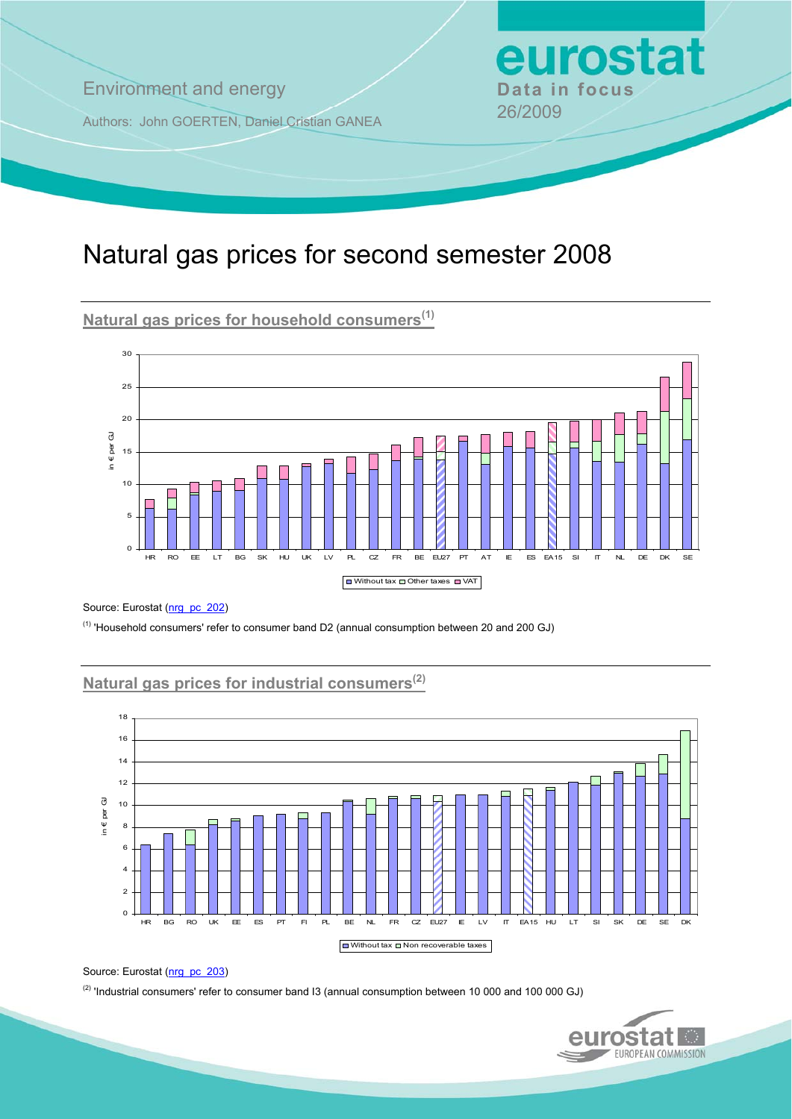**Environment and energy <b>Data in focus** 

Authors: John GOERTEN, Daniel Cristian GANEA 26/2009

# Natural gas prices for second semester 2008

**Natural gas prices for household consumers(1)**



Source: Eurostat ([nrg\\_pc\\_202](http://nui.epp.eurostat.ec.europa.eu/nui/show.do?dataset=nrg_pc_202&lang=en))

(1) 'Household consumers' refer to consumer band D2 (annual consumption between 20 and 200 GJ)

# **Natural gas prices for industrial consumers(2)**



Source: Eurostat ([nrg\\_pc\\_203](http://nui.epp.eurostat.ec.europa.eu/nui/show.do?dataset=nrg_pc_203&lang=en))

(2) 'Industrial consumers' refer to consumer band I3 (annual consumption between 10 000 and 100 000 GJ)



eurostat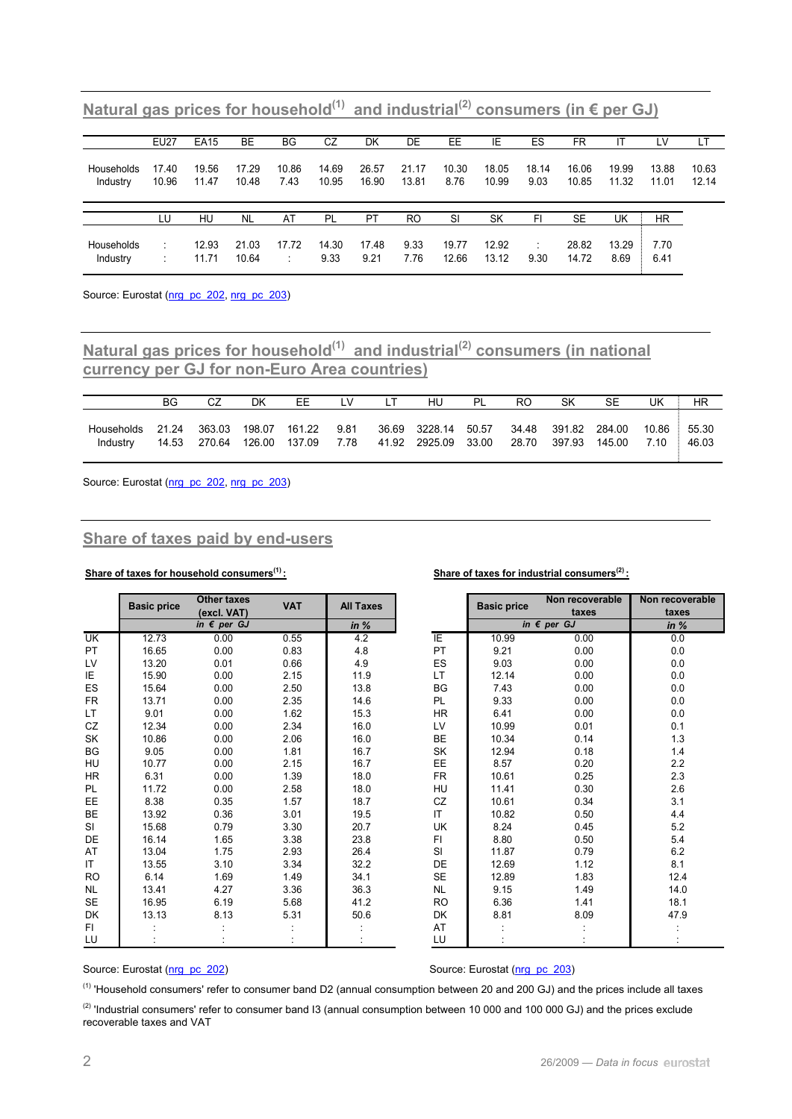|                        | <b>EU27</b>    | <b>EA15</b>    | <b>BE</b>      | BG            | CZ             | DK             | DE             | EE            | ΙE             | ES            | FR             |                | ĹV             | LT             |
|------------------------|----------------|----------------|----------------|---------------|----------------|----------------|----------------|---------------|----------------|---------------|----------------|----------------|----------------|----------------|
| Households<br>Industry | 17.40<br>10.96 | 19.56<br>11.47 | 17.29<br>10.48 | 10.86<br>7.43 | 14.69<br>10.95 | 26.57<br>16.90 | 21.17<br>13.81 | 10.30<br>8.76 | 18.05<br>10.99 | 18.14<br>9.03 | 16.06<br>10.85 | 19.99<br>11.32 | 13.88<br>11.01 | 10.63<br>12.14 |
|                        |                |                |                |               |                |                |                |               |                |               |                |                |                |                |
|                        | LU             | HU             | <b>NL</b>      | AT            | PL             | <b>PT</b>      | <b>RO</b>      | -SI           | SK             | FI            | <b>SE</b>      | UK             | <b>HR</b>      |                |

Natural gas prices for household<sup>(1)</sup> and industrial<sup>(2)</sup> consumers (in € per GJ)

Source: Eurostat [\(nrg\\_pc\\_202](http://nui.epp.eurostat.ec.europa.eu/nui/show.do?dataset=nrg_pc_202&lang=en), [nrg\\_pc\\_203\)](http://nui.epp.eurostat.ec.europa.eu/nui/show.do?dataset=nrg_pc_203&lang=en)

## Matural gas prices for household<sup>(1)</sup> and industrial<sup>(2)</sup> consumers (in national **currency per GJ for non-Euro Area countries)**

|                        | BG             |                  | DK               | ЕE               | LV           | LТ    | HU                             | PL    | RO    | SΚ                     | SE               | UK   | HR                   |
|------------------------|----------------|------------------|------------------|------------------|--------------|-------|--------------------------------|-------|-------|------------------------|------------------|------|----------------------|
| Households<br>Industry | 21.24<br>14.53 | 363.03<br>270.64 | 198.07<br>126.00 | 161.22<br>137.09 | 9.81<br>7.78 | 41.92 | 36.69 3228.14<br>2925.09 33.00 | 50.57 | 28.70 | 34.48 391.82<br>397.93 | 284.00<br>145.00 | 7.10 | 10.86 55.30<br>46.03 |

Source: Eurostat ([nrg\\_pc\\_202](http://nui.epp.eurostat.ec.europa.eu/nui/show.do?dataset=nrg_pc_202&lang=en), [nrg\\_pc\\_203\)](http://nui.epp.eurostat.ec.europa.eu/nui/show.do?dataset=nrg_pc_203&lang=en)

#### **Share of taxes paid by end-users**

#### Share of taxes for household consumers<sup>(1)</sup> : Share of taxes for industrial consumers<sup>(2)</sup> :

|                           | <b>Basic price</b> | <b>Other taxes</b><br>(excl. VAT) | <b>VAT</b> | <b>All Taxes</b> |           | <b>Basic price</b> | Non recoverable<br>taxes        | Non recov<br>taxe |
|---------------------------|--------------------|-----------------------------------|------------|------------------|-----------|--------------------|---------------------------------|-------------------|
|                           |                    | in $\epsilon$ per GJ              |            | in $%$           |           |                    | in $\overline{\epsilon}$ per GJ | in $%$            |
| $\overline{\mathsf{U}}$ K | 12.73              | 0.00                              | 0.55       | 4.2              | ΙE        | 10.99              | 0.00                            | 0.0               |
| PT                        | 16.65              | 0.00                              | 0.83       | 4.8              | PT        | 9.21               | 0.00                            | 0.0               |
| LV                        | 13.20              | 0.01                              | 0.66       | 4.9              | ES        | 9.03               | 0.00                            | 0.0               |
| ΙE                        | 15.90              | 0.00                              | 2.15       | 11.9             | LT.       | 12.14              | 0.00                            | 0.0               |
| ES                        | 15.64              | 0.00                              | 2.50       | 13.8             | BG        | 7.43               | 0.00                            | 0.0               |
| FR                        | 13.71              | 0.00                              | 2.35       | 14.6             | PL        | 9.33               | 0.00                            | 0.0               |
| LT.                       | 9.01               | 0.00                              | 1.62       | 15.3             | HR        | 6.41               | 0.00                            | 0.0               |
| CZ                        | 12.34              | 0.00                              | 2.34       | 16.0             | LV        | 10.99              | 0.01                            | 0.1               |
| SK                        | 10.86              | 0.00                              | 2.06       | 16.0             | <b>BE</b> | 10.34              | 0.14                            | 1.3               |
| BG                        | 9.05               | 0.00                              | 1.81       | 16.7             | SK        | 12.94              | 0.18                            | 1.4               |
| HU                        | 10.77              | 0.00                              | 2.15       | 16.7             | EE        | 8.57               | 0.20                            | 2.2               |
| HR                        | 6.31               | 0.00                              | 1.39       | 18.0             | FR        | 10.61              | 0.25                            | 2.3               |
| PL.                       | 11.72              | 0.00                              | 2.58       | 18.0             | <b>HU</b> | 11.41              | 0.30                            | 2.6               |
| EE.                       | 8.38               | 0.35                              | 1.57       | 18.7             | CZ        | 10.61              | 0.34                            | 3.1               |
| BE                        | 13.92              | 0.36                              | 3.01       | 19.5             | IT.       | 10.82              | 0.50                            | 4.4               |
| SI                        | 15.68              | 0.79                              | 3.30       | 20.7             | UK        | 8.24               | 0.45                            | 5.2               |
| DE                        | 16.14              | 1.65                              | 3.38       | 23.8             | FI        | 8.80               | 0.50                            | 5.4               |
| AT                        | 13.04              | 1.75                              | 2.93       | 26.4             | SI        | 11.87              | 0.79                            | 6.2               |
| IT                        | 13.55              | 3.10                              | 3.34       | 32.2             | DE        | 12.69              | 1.12                            | 8.1               |
| <b>RO</b>                 | 6.14               | 1.69                              | 1.49       | 34.1             | <b>SE</b> | 12.89              | 1.83                            | 12.4              |
| <b>NL</b>                 | 13.41              | 4.27                              | 3.36       | 36.3             | NL.       | 9.15               | 1.49                            | 14.0              |
| SE                        | 16.95              | 6.19                              | 5.68       | 41.2             | <b>RO</b> | 6.36               | 1.41                            | 18.1              |
| DK                        | 13.13              | 8.13                              | 5.31       | 50.6             | DK        | 8.81               | 8.09                            | 47.9              |
| FI.                       |                    |                                   |            |                  | AT        |                    |                                 |                   |
| LU                        |                    |                                   |            |                  | LU        |                    |                                 |                   |

| VAT  | <b>All Taxes</b> |           | <b>Basic price</b> | Non recoverable      | Non recoverable |
|------|------------------|-----------|--------------------|----------------------|-----------------|
|      |                  |           |                    | taxes                | taxes           |
|      | in $%$           |           |                    | in $\epsilon$ per GJ | in $%$          |
| 0.55 | 4.2              | ΙE        | 10.99              | 0.00                 | 0.0             |
| 0.83 | 4.8              | PT        | 9.21               | 0.00                 | 0.0             |
| 0.66 | 4.9              | ES        | 9.03               | 0.00                 | 0.0             |
| 2.15 | 11.9             | LT.       | 12.14              | 0.00                 | 0.0             |
| 2.50 | 13.8             | BG        | 7.43               | 0.00                 | 0.0             |
| 2.35 | 14.6             | PL        | 9.33               | 0.00                 | 0.0             |
| 1.62 | 15.3             | HR.       | 6.41               | 0.00                 | 0.0             |
| 2.34 | 16.0             | LV        | 10.99              | 0.01                 | 0.1             |
| 2.06 | 16.0             | BE        | 10.34              | 0.14                 | 1.3             |
| 1.81 | 16.7             | SK        | 12.94              | 0.18                 | 1.4             |
| 2.15 | 16.7             | EE        | 8.57               | 0.20                 | 2.2             |
| 1.39 | 18.0             | <b>FR</b> | 10.61              | 0.25                 | 2.3             |
| 2.58 | 18.0             | HU        | 11.41              | 0.30                 | 2.6             |
| 1.57 | 18.7             | CZ        | 10.61              | 0.34                 | 3.1             |
| 3.01 | 19.5             | IT.       | 10.82              | 0.50                 | 4.4             |
| 3.30 | 20.7             | UK        | 8.24               | 0.45                 | 5.2             |
| 3.38 | 23.8             | FI.       | 8.80               | 0.50                 | 5.4             |
| 2.93 | 26.4             | SI        | 11.87              | 0.79                 | 6.2             |
| 3.34 | 32.2             | DE        | 12.69              | 1.12                 | 8.1             |
| 1.49 | 34.1             | <b>SE</b> | 12.89              | 1.83                 | 12.4            |
| 3.36 | 36.3             | <b>NL</b> | 9.15               | 1.49                 | 14.0            |
| 5.68 | 41.2             | <b>RO</b> | 6.36               | 1.41                 | 18.1            |
| 5.31 | 50.6             | DK        | 8.81               | 8.09                 | 47.9            |
|      |                  | AT        |                    |                      |                 |
|      |                  | LU        |                    |                      |                 |

Source: Eurostat ([nrg\\_pc\\_202](http://nui.epp.eurostat.ec.europa.eu/nui/show.do?dataset=nrg_pc_202&lang=en)) **b** Source: Eurostat [\(nrg\\_pc\\_203\)](http://nui.epp.eurostat.ec.europa.eu/nui/show.do?dataset=nrg_pc_203&lang=en)

(1) 'Household consumers' refer to consumer band D2 (annual consumption between 20 and 200 GJ) and the prices include all taxes <sup>(2)</sup> 'Industrial consumers' refer to consumer band I3 (annual consumption between 10 000 and 100 000 GJ) and the prices exclude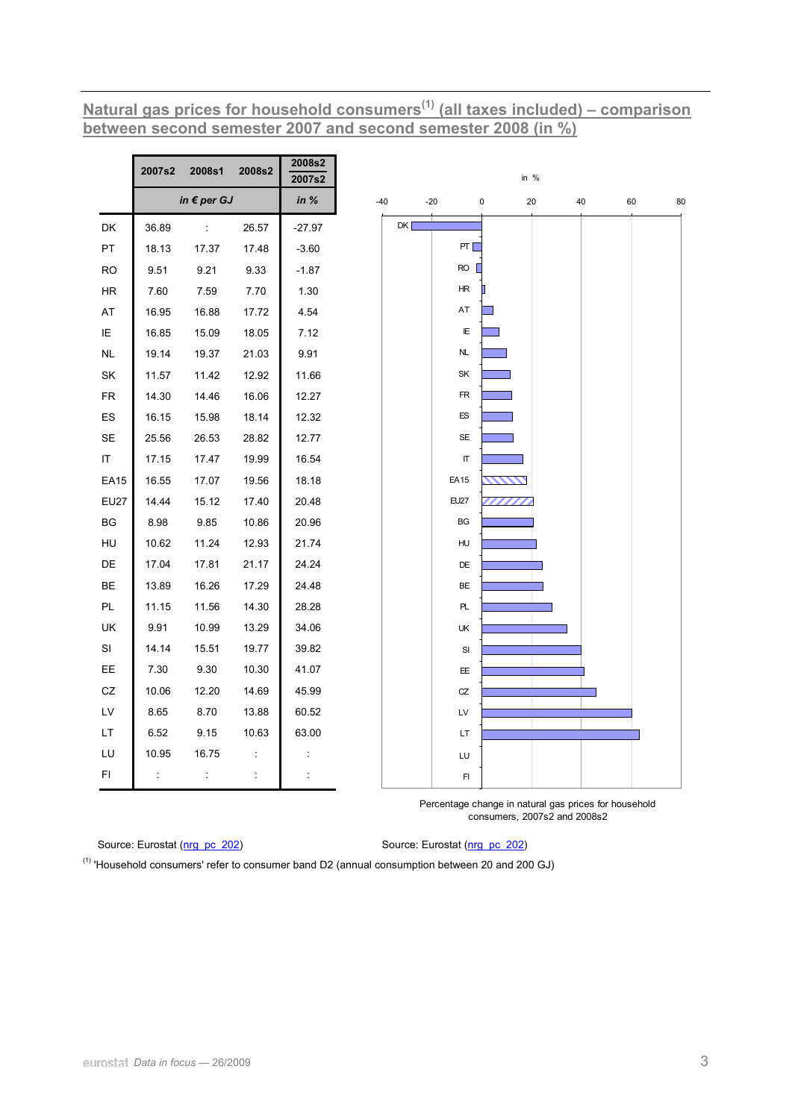**Natural gas prices for household consumers(1) (all taxes included) – comparison between second semester 2007 and second semester 2008 (in %)**

|                        | 2007s2 | 2008s1               | 2008s2 | 2008s2<br>2007s2 |       |       |             | in $%$    |    |    |    |    |
|------------------------|--------|----------------------|--------|------------------|-------|-------|-------------|-----------|----|----|----|----|
|                        |        | in $\epsilon$ per GJ |        | in $%$           | $-40$ | $-20$ |             | $\pmb{0}$ | 20 | 40 | 60 | 80 |
| DK                     | 36.89  | ÷                    | 26.57  | $-27.97$         | DK [  |       |             |           |    |    |    |    |
| PT                     | 18.13  | 17.37                | 17.48  | $-3.60$          |       |       | PT [        |           |    |    |    |    |
| <b>RO</b>              | 9.51   | 9.21                 | 9.33   | $-1.87$          |       |       | $RO$ $\Box$ |           |    |    |    |    |
| HR                     | 7.60   | 7.59                 | 7.70   | 1.30             |       |       | HR          |           |    |    |    |    |
| AT                     | 16.95  | 16.88                | 17.72  | 4.54             |       |       | AT          |           |    |    |    |    |
| IE                     | 16.85  | 15.09                | 18.05  | 7.12             |       |       | E           |           |    |    |    |    |
| $\sf NL$               | 19.14  | 19.37                | 21.03  | 9.91             |       |       | <b>NL</b>   |           |    |    |    |    |
| SK                     | 11.57  | 11.42                | 12.92  | 11.66            |       |       | SK          |           |    |    |    |    |
| ${\sf FR}$             | 14.30  | 14.46                | 16.06  | 12.27            |       |       | FR          |           |    |    |    |    |
| ES                     | 16.15  | 15.98                | 18.14  | 12.32            |       |       | ES          |           |    |    |    |    |
| SE                     | 25.56  | 26.53                | 28.82  | 12.77            |       |       | <b>SE</b>   |           |    |    |    |    |
| IT                     | 17.15  | 17.47                | 19.99  | 16.54            |       |       | П           |           |    |    |    |    |
| <b>EA15</b>            | 16.55  | 17.07                | 19.56  | 18.18            |       |       | EA15        |           |    |    |    |    |
| <b>EU27</b>            | 14.44  | 15.12                | 17.40  | 20.48            |       |       | EU27        |           |    |    |    |    |
| $\mathsf{B}\mathsf{G}$ | 8.98   | 9.85                 | 10.86  | 20.96            |       |       | BG          |           |    |    |    |    |
| HU                     | 10.62  | 11.24                | 12.93  | 21.74            |       |       | HU          |           |    |    |    |    |
| DE                     | 17.04  | 17.81                | 21.17  | 24.24            |       |       | DE          |           |    |    |    |    |
| BE                     | 13.89  | 16.26                | 17.29  | 24.48            |       |       | BE          |           |    |    |    |    |
| PL                     | 11.15  | 11.56                | 14.30  | 28.28            |       |       | PL          |           |    |    |    |    |
| UK                     | 9.91   | 10.99                | 13.29  | 34.06            |       |       | UK          |           |    |    |    |    |
| SI                     | 14.14  | 15.51                | 19.77  | 39.82            |       |       | SI          |           |    |    |    |    |
| EE                     | 7.30   | 9.30                 | 10.30  | 41.07            |       |       | EE.         |           |    |    |    |    |
| ${\tt CZ}$             | 10.06  | 12.20                | 14.69  | 45.99            |       |       | CZ          |           |    |    |    |    |
| $\mathsf{L}\mathsf{V}$ | 8.65   | 8.70                 | 13.88  | 60.52            |       |       | LV          |           |    |    |    |    |
| LT.                    | 6.52   | 9.15                 | 10.63  | 63.00            |       |       | LT          |           |    |    |    |    |
| LU                     | 10.95  | 16.75                | ÷      | ÷                |       |       | LU          |           |    |    |    |    |
| FI                     | Ť,     | $\ddot{\phantom{a}}$ | ÷      | ÷                |       |       | FI          |           |    |    |    |    |

Percentage change in natural gas prices for household consumers, 2007s2 and 2008s2

**Source: Eurostat ([nrg\\_pc\\_202](http://nui.epp.eurostat.ec.europa.eu/nui/show.do?dataset=nrg_pc_202&lang=en)) Source: Eurostat (nrg\_pc\_202) Source: Eurostat (nrg\_pc\_202)** 

 $<sup>(1)</sup>$  'Household consumers' refer to consumer band D2 (annual consumption between 20 and 200 GJ)</sup>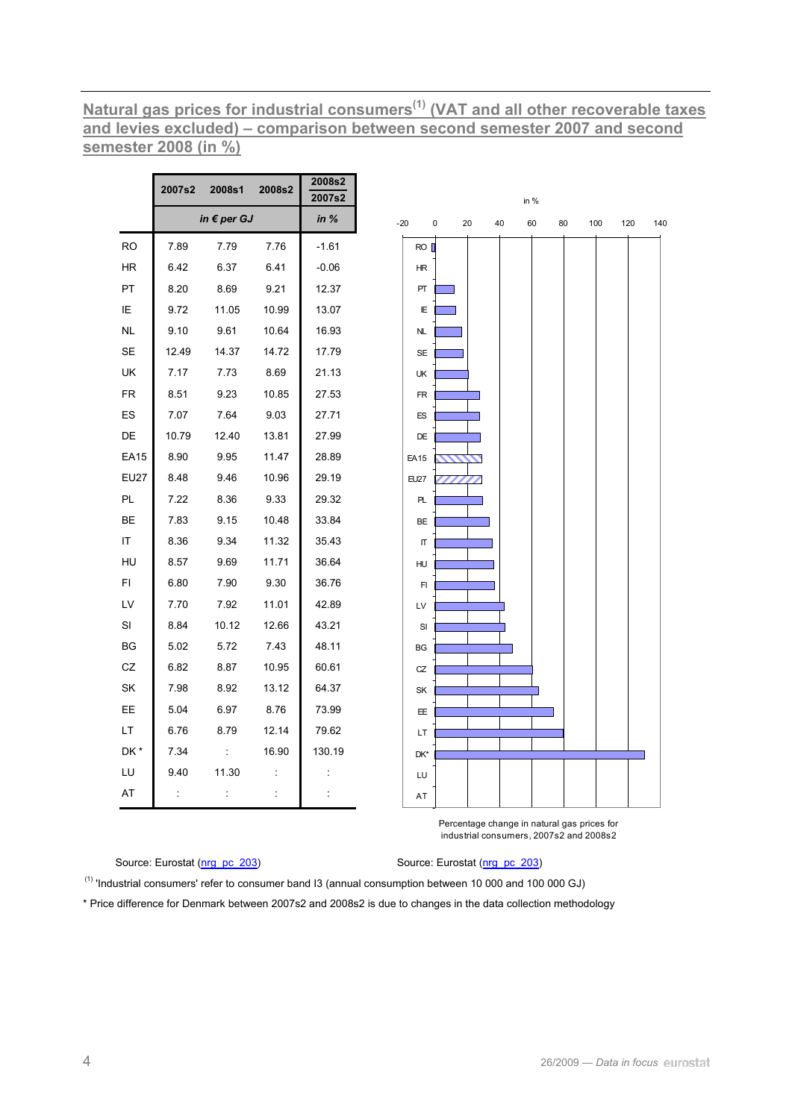# <u>Natural gas prices for industrial consumers<sup>(1)</sup> (VAT and all other recoverable taxes and levies excluded) – comparison between second semester 2007 and second</u> semester 2008 (in %)

|             | 2007s2 | 2008s1               | 2008s2               | 2008s2<br>2007s2 |
|-------------|--------|----------------------|----------------------|------------------|
|             |        | in $\epsilon$ per GJ |                      | in %             |
| <b>RO</b>   | 7.89   | 7.79                 | 7.76                 | $-1.61$          |
| HR          | 6.42   | 6.37                 | 6.41                 | $-0.06$          |
| PT          | 8.20   | 8.69                 | 9.21                 | 12.37            |
| ΙE          | 9.72   | 11.05                | 10.99                | 13.07            |
| <b>NL</b>   | 9.10   | 9.61                 | 10.64                | 16.93            |
| SE          | 12.49  | 14.37                | 14.72                | 17.79            |
| UK          | 7.17   | 7.73                 | 8.69                 | 21.13            |
| <b>FR</b>   | 8.51   | 9.23                 | 10.85                | 27.53            |
| ES          | 7.07   | 7.64                 | 9.03                 | 27.71            |
| DE          | 10.79  | 12.40                | 13.81                | 27.99            |
| <b>EA15</b> | 8.90   | 9.95                 | 11.47                | 28.89            |
| <b>EU27</b> | 8.48   | 9.46                 | 10.96                | 29.19            |
| PL          | 7.22   | 8.36                 | 9.33                 | 29.32            |
| BЕ          | 7.83   | 9.15                 | 10.48                | 33.84            |
| ΙT          | 8.36   | 9.34                 | 11.32                | 35.43            |
| HU          | 8.57   | 9.69                 | 11.71                | 36.64            |
| FI          | 6.80   | 7.90                 | 9.30                 | 36.76            |
| LV          | 7.70   | 7.92                 | 11.01                | 42.89            |
| SI          | 8.84   | 10.12                | 12.66                | 43.21            |
| BG          | 5.02   | 5.72                 | 7.43                 | 48.11            |
| CZ          | 6.82   | 8.87                 | 10.95                | 60.61            |
| SK          | 7.98   | 8.92                 | 13.12                | 64.37            |
| EE          | 5.04   | 6.97                 | 8.76                 | 73.99            |
| LT.         | 6.76   | 8.79                 | 12.14                | 79.62            |
| DK*         | 7.34   | t                    | 16.90                | 130.19           |
| LU          | 9.40   | 11.30                | İ                    | t                |
| AT          | İ      | t                    | $\ddot{\phantom{a}}$ | İ                |



Percentage change in natural gas prices for industrial consumers, 2007s2 and 2008s2

Source: Eurostat (nrg pc 203)

#### Source: Eurostat (nrg pc 203)

<sup>(1)</sup> 'Industrial consumers' refer to consumer band I3 (annual consumption between 10 000 and 100 000 GJ)

\* Price difference for Denmark between 2007s2 and 2008s2 is due to changes in the data collection methodology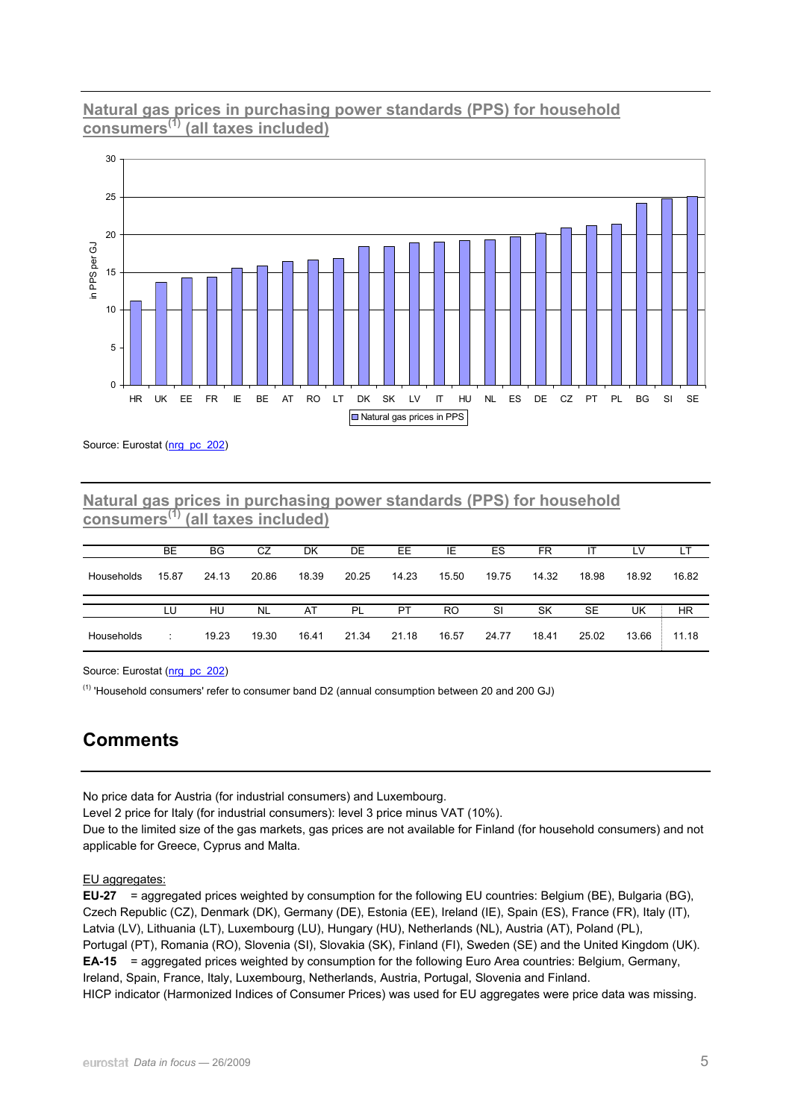## **Natural gas prices in purchasing power standards (PPS) for household consumers(1) (all taxes included)**



Source: Eurostat ([nrg\\_pc\\_202](http://nui.epp.eurostat.ec.europa.eu/nui/show.do?dataset=nrg_pc_202&lang=en))

### **Natural gas prices in purchasing power standards (PPS) for household consumers(1) (all taxes included)**

|            | BE    | ΒG    | CZ        | DK    | DE    | EE        | IE    | ES    | FR.   |       | LV    | LТ    |
|------------|-------|-------|-----------|-------|-------|-----------|-------|-------|-------|-------|-------|-------|
| Households | 15.87 | 24.13 | 20.86     | 18.39 | 20.25 | 14.23     | 15.50 | 19.75 | 14.32 | 18.98 | 18.92 | 16.82 |
|            |       |       |           |       |       |           |       |       |       |       |       |       |
|            |       |       |           |       |       |           |       |       |       |       |       |       |
|            | LU    | HU    | <b>NL</b> | AT    | PL    | <b>PT</b> | RO    | SI    | SK    | SE    | UK    | HR    |

Source: Eurostat ([nrg\\_pc\\_202](http://nui.epp.eurostat.ec.europa.eu/nui/show.do?dataset=nrg_pc_202&lang=en))

(1) 'Household consumers' refer to consumer band D2 (annual consumption between 20 and 200 GJ)

# **Comments**

No price data for Austria (for industrial consumers) and Luxembourg.

Level 2 price for Italy (for industrial consumers): level 3 price minus VAT (10%).

Due to the limited size of the gas markets, gas prices are not available for Finland (for household consumers) and not applicable for Greece, Cyprus and Malta.

EU aggregates:

**EU-27** = aggregated prices weighted by consumption for the following EU countries: Belgium (BE), Bulgaria (BG), Czech Republic (CZ), Denmark (DK), Germany (DE), Estonia (EE), Ireland (IE), Spain (ES), France (FR), Italy (IT), Latvia (LV), Lithuania (LT), Luxembourg (LU), Hungary (HU), Netherlands (NL), Austria (AT), Poland (PL), Portugal (PT), Romania (RO), Slovenia (SI), Slovakia (SK), Finland (FI), Sweden (SE) and the United Kingdom (UK). **EA-15** = aggregated prices weighted by consumption for the following Euro Area countries: Belgium, Germany, Ireland, Spain, France, Italy, Luxembourg, Netherlands, Austria, Portugal, Slovenia and Finland. HICP indicator (Harmonized Indices of Consumer Prices) was used for EU aggregates were price data was missing.